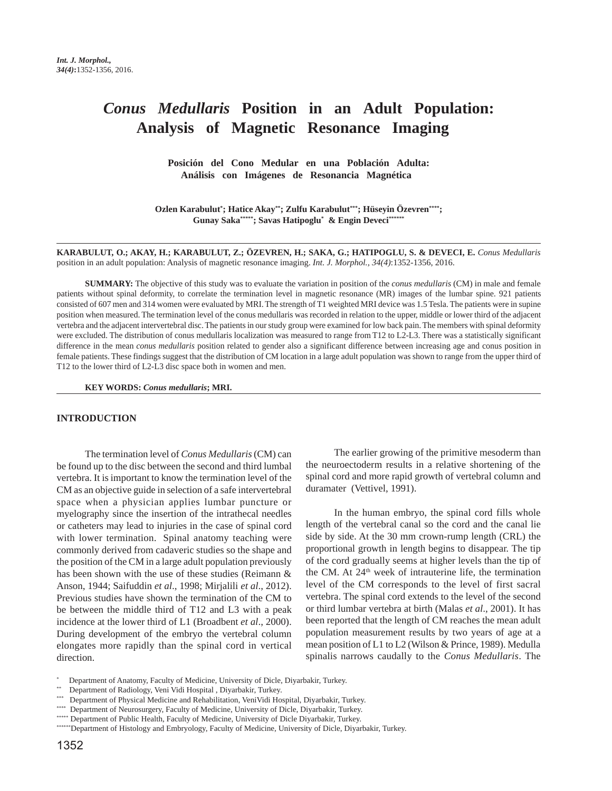# *Conus Medullaris* **Position in an Adult Population: Analysis of Magnetic Resonance Imaging**

**Posición del Cono Medular en una Población Adulta: Análisis con Imágenes de Resonancia Magnética**

**Ozlen Karabulut\* ; Hatice Akay\*\*; Zulfu Karabulut\*\*\*; Hüseyin Özevren\*\*\*\*; Gunay Saka\*\*\*\*\*; Savas Hatipoglu\* & Engin Deveci\*\*\*\*\*\***

**KARABULUT, O.; AKAY, H.; KARABULUT, Z.; ÖZEVREN, H.; SAKA, G.; HATIPOGLU, S. & DEVECI, E.** *Conus Medullaris* position in an adult population: Analysis of magnetic resonance imaging. *Int. J. Morphol., 34(4)*:1352-1356, 2016.

**SUMMARY:** The objective of this study was to evaluate the variation in position of the *conus medullaris* (CM) in male and female patients without spinal deformity, to correlate the termination level in magnetic resonance (MR) images of the lumbar spine. 921 patients consisted of 607 men and 314 women were evaluated by MRI. The strength of T1 weighted MRI device was 1.5 Tesla. The patients were in supine position when measured. The termination level of the conus medullaris was recorded in relation to the upper, middle or lower third of the adjacent vertebra and the adjacent intervertebral disc. The patients in our study group were examined for low back pain. The members with spinal deformity were excluded. The distribution of conus medullaris localization was measured to range from T12 to L2-L3. There was a statistically significant difference in the mean *conus medullaris* position related to gender also a significant difference between increasing age and conus position in female patients. These findings suggest that the distribution of CM location in a large adult population was shown to range from the upper third of T12 to the lower third of L2-L3 disc space both in women and men.

**KEY WORDS:** *Conus medullaris***; MRI.**

#### **INTRODUCTION**

The termination level of *Conus Medullaris* (CM) can be found up to the disc between the second and third lumbal vertebra. It is important to know the termination level of the CM as an objective guide in selection of a safe intervertebral space when a physician applies lumbar puncture or myelography since the insertion of the intrathecal needles or catheters may lead to injuries in the case of spinal cord with lower termination. Spinal anatomy teaching were commonly derived from cadaveric studies so the shape and the position of the CM in a large adult population previously has been shown with the use of these studies (Reimann & Anson, 1944; Saifuddin *et al*., 1998; Mirjalili *et al*., 2012). Previous studies have shown the termination of the CM to be between the middle third of T12 and L3 with a peak incidence at the lower third of L1 (Broadbent *et al*., 2000). During development of the embryo the vertebral column elongates more rapidly than the spinal cord in vertical direction.

The earlier growing of the primitive mesoderm than the neuroectoderm results in a relative shortening of the spinal cord and more rapid growth of vertebral column and duramater (Vettivel, 1991).

In the human embryo, the spinal cord fills whole length of the vertebral canal so the cord and the canal lie side by side. At the 30 mm crown-rump length (CRL) the proportional growth in length begins to disappear. The tip of the cord gradually seems at higher levels than the tip of the CM. At 24<sup>th</sup> week of intrauterine life, the termination level of the CM corresponds to the level of first sacral vertebra. The spinal cord extends to the level of the second or third lumbar vertebra at birth (Malas *et al*., 2001). It has been reported that the length of CM reaches the mean adult population measurement results by two years of age at a mean position of L1 to L2 (Wilson & Prince, 1989). Medulla spinalis narrows caudally to the *Conus Medullaris*. The

<sup>\*</sup> Department of Anatomy, Faculty of Medicine, University of Dicle, Diyarbakir, Turkey.

<sup>\*\*</sup> Department of Radiology, Veni Vidi Hospital , Diyarbakir, Turkey.

<sup>\*\*\*</sup> Department of Physical Medicine and Rehabilitation, VeniVidi Hospital, Diyarbakir, Turkey.

<sup>\*\*\*\*</sup> Department of Neurosurgery, Faculty of Medicine, University of Dicle, Diyarbakir, Turkey.

<sup>\*\*\*\*\*</sup> Department of Public Health, Faculty of Medicine, University of Dicle Diyarbakir, Turkey.

<sup>\*\*\*\*\*\*\*</sup>Department of Histology and Embryology, Faculty of Medicine, University of Dicle, Diyarbakir, Turkey.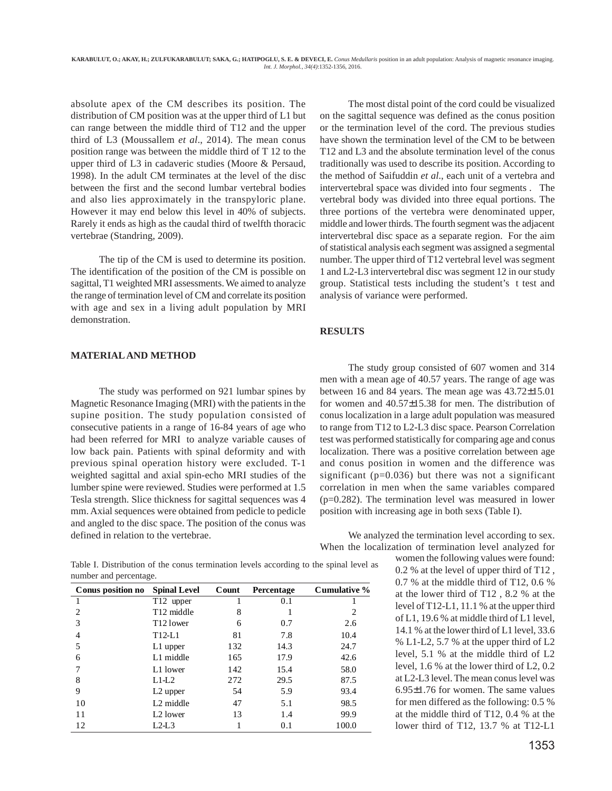absolute apex of the CM describes its position. The distribution of CM position was at the upper third of L1 but can range between the middle third of T12 and the upper third of L3 (Moussallem *et al*., 2014). The mean conus position range was between the middle third of T 12 to the upper third of L3 in cadaveric studies (Moore & Persaud, 1998). In the adult CM terminates at the level of the disc between the first and the second lumbar vertebral bodies and also lies approximately in the transpyloric plane. However it may end below this level in 40% of subjects. Rarely it ends as high as the caudal third of twelfth thoracic vertebrae (Standring, 2009).

The tip of the CM is used to determine its position. The identification of the position of the CM is possible on sagittal, T1 weighted MRI assessments. We aimed to analyze the range of termination level of CM and correlate its position with age and sex in a living adult population by MRI demonstration.

# **MATERIAL AND METHOD**

The study was performed on 921 lumbar spines by Magnetic Resonance Imaging (MRI) with the patients in the supine position. The study population consisted of consecutive patients in a range of 16-84 years of age who had been referred for MRI to analyze variable causes of low back pain. Patients with spinal deformity and with previous spinal operation history were excluded. T-1 weighted sagittal and axial spin-echo MRI studies of the lumber spine were reviewed. Studies were performed at 1.5 Tesla strength. Slice thickness for sagittal sequences was 4 mm. Axial sequences were obtained from pedicle to pedicle and angled to the disc space. The position of the conus was defined in relation to the vertebrae.

The most distal point of the cord could be visualized on the sagittal sequence was defined as the conus position or the termination level of the cord. The previous studies have shown the termination level of the CM to be between T12 and L3 and the absolute termination level of the conus traditionally was used to describe its position. According to the method of Saifuddin *et al*., each unit of a vertebra and intervertebral space was divided into four segments . The vertebral body was divided into three equal portions. The three portions of the vertebra were denominated upper, middle and lower thirds. The fourth segment was the adjacent intervertebral disc space as a separate region. For the aim of statistical analysis each segment was assigned a segmental number. The upper third of T12 vertebral level was segment 1 and L2-L3 intervertebral disc was segment 12 in our study group. Statistical tests including the student's t test and analysis of variance were performed.

# **RESULTS**

The study group consisted of 607 women and 314 men with a mean age of 40.57 years. The range of age was between 16 and 84 years. The mean age was 43.72±15.01 for women and 40.57±15.38 for men. The distribution of conus localization in a large adult population was measured to range from T12 to L2-L3 disc space. Pearson Correlation test was performed statistically for comparing age and conus localization. There was a positive correlation between age and conus position in women and the difference was significant (p=0.036) but there was not a significant correlation in men when the same variables compared (p=0.282). The termination level was measured in lower position with increasing age in both sexs (Table I).

We analyzed the termination level according to sex. When the localization of termination level analyzed for

> women the following values were found: 0.2 % at the level of upper third of T12 , 0.7 % at the middle third of T12, 0.6 % at the lower third of T12 , 8.2 % at the level of T12-L1, 11.1 % at the upper third of L1, 19.6 % at middle third of L1 level, 14.1 % at the lower third of L1 level, 33.6 % L1-L2, 5.7 % at the upper third of L2 level, 5.1 % at the middle third of L2 level, 1.6 % at the lower third of L2, 0.2 at L2-L3 level. The mean conus level was 6.95±1.76 for women. The same values for men differed as the following: 0.5 % at the middle third of T12, 0.4 % at the lower third of T12, 13.7 % at T12-L1

Table I. Distribution of the conus termination levels according to the spinal level as number and percentage.

| Conus position no | <b>Spinal Level</b>    | Count | <b>Percentage</b> | Cumulative % |
|-------------------|------------------------|-------|-------------------|--------------|
|                   | T12 upper              |       | 0.1               |              |
| 2                 | T <sub>12</sub> middle | 8     |                   | 2            |
| 3                 | T <sub>12</sub> lower  | 6     | 0.7               | 2.6          |
| 4                 | $T12-L1$               | 81    | 7.8               | 10.4         |
| 5                 | L1 upper               | 132   | 14.3              | 24.7         |
| 6                 | L1 middle              | 165   | 17.9              | 42.6         |
|                   | L1 lower               | 142   | 15.4              | 58.0         |
| 8                 | $L1-I.2$               | 272   | 29.5              | 87.5         |
| 9                 | L <sub>2</sub> upper   | 54    | 5.9               | 93.4         |
| 10                | L <sub>2</sub> middle  | 47    | 5.1               | 98.5         |
| 11                | L <sub>2</sub> lower   | 13    | 1.4               | 99.9         |
| 12                | $L2-I.3$               |       | 0.1               | 100.0        |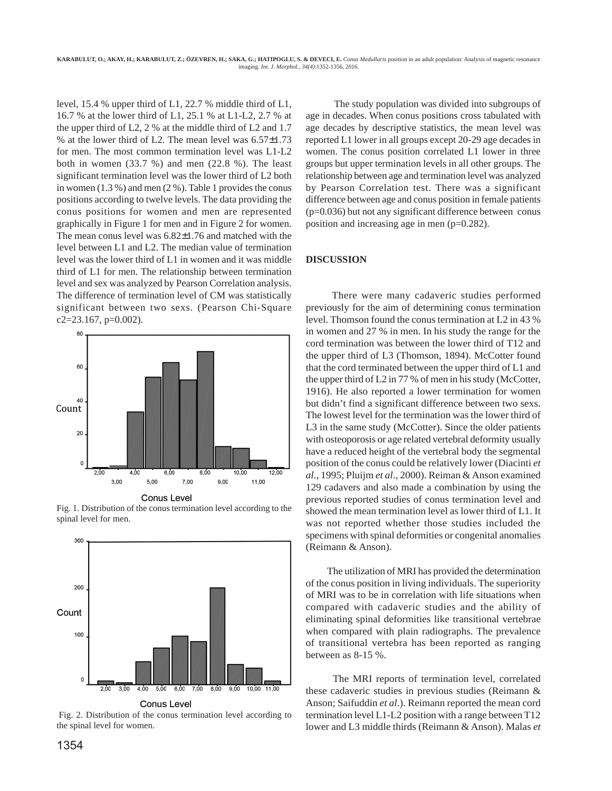level, 15.4 % upper third of L1, 22.7 % middle third of L1, 16.7 % at the lower third of L1, 25.1 % at L1-L2, 2.7 % at the upper third of L2, 2 % at the middle third of L2 and 1.7 % at the lower third of L2. The mean level was 6.57±1.73 for men. The most common termination level was L1-L2 both in women (33.7 %) and men (22.8 %). The least significant termination level was the lower third of L2 both in women (1.3 %) and men (2 %). Table 1 provides the conus positions according to twelve levels. The data providing the conus positions for women and men are represented graphically in Figure 1 for men and in Figure 2 for women. The mean conus level was 6.82±1.76 and matched with the level between L1 and L2. The median value of termination level was the lower third of L1 in women and it was middle third of L1 for men. The relationship between termination level and sex was analyzed by Pearson Correlation analysis. The difference of termination level of CM was statistically significant between two sexs. (Pearson Chi-Square c2=23.167, p=0.002).



**Conus Level** 

Fig. 1. Distribution of the conus termination level according to the spinal level for men.



Fig. 2. Distribution of the conus termination level according to the spinal level for women.

The study population was divided into subgroups of age in decades. When conus positions cross tabulated with age decades by descriptive statistics, the mean level was reported L1 lower in all groups except 20-29 age decades in women. The conus position correlated L1 lower in three groups but upper termination levels in all other groups. The relationship between age and termination level was analyzed by Pearson Correlation test. There was a significant difference between age and conus position in female patients (p=0.036) but not any significant difference between conus position and increasing age in men (p=0.282).

### **DISCUSSION**

 There were many cadaveric studies performed previously for the aim of determining conus termination level. Thomson found the conus termination at L2 in 43 % in women and 27 % in men. In his study the range for the cord termination was between the lower third of T12 and the upper third of L3 (Thomson, 1894). McCotter found that the cord terminated between the upper third of L1 and the upper third of L2 in 77 % of men in his study (McCotter, 1916). He also reported a lower termination for women but didn't find a significant difference between two sexs. The lowest level for the termination was the lower third of L3 in the same study (McCotter). Since the older patients with osteoporosis or age related vertebral deformity usually have a reduced height of the vertebral body the segmental position of the conus could be relatively lower (Diacinti *et al*., 1995; Pluijm *et al*., 2000). Reiman & Anson examined 129 cadavers and also made a combination by using the previous reported studies of conus termination level and showed the mean termination level as lower third of L1. It was not reported whether those studies included the specimens with spinal deformities or congenital anomalies (Reimann & Anson).

 The utilization of MRI has provided the determination of the conus position in living individuals. The superiority of MRI was to be in correlation with life situations when compared with cadaveric studies and the ability of eliminating spinal deformities like transitional vertebrae when compared with plain radiographs. The prevalence of transitional vertebra has been reported as ranging between as 8-15 %.

 The MRI reports of termination level, correlated these cadaveric studies in previous studies (Reimann & Anson; Saifuddin *et al*.). Reimann reported the mean cord termination level L1-L2 position with a range between T12 lower and L3 middle thirds (Reimann & Anson). Malas *et*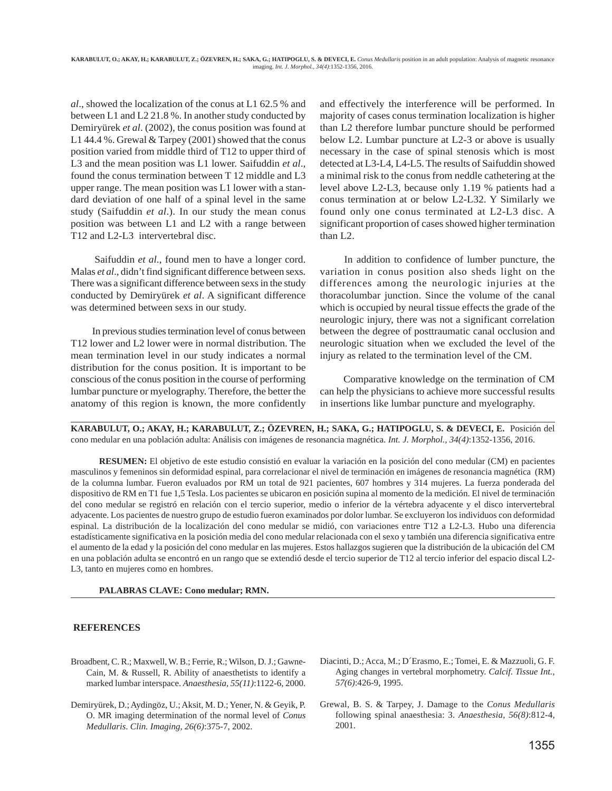*al*., showed the localization of the conus at L1 62.5 % and between L1 and L2 21.8 %. In another study conducted by Demiryürek *et al*. (2002), the conus position was found at L1 44.4 %. Grewal & Tarpey (2001) showed that the conus position varied from middle third of T12 to upper third of L3 and the mean position was L1 lower. Saifuddin *et al*., found the conus termination between T 12 middle and L3 upper range. The mean position was L1 lower with a standard deviation of one half of a spinal level in the same study (Saifuddin *et al*.). In our study the mean conus position was between L1 and L2 with a range between T12 and L2-L3 intervertebral disc.

 Saifuddin *et al*., found men to have a longer cord. Malas *et al*., didn't find significant difference between sexs. There was a significant difference between sexs in the study conducted by Demiryürek *et al*. A significant difference was determined between sexs in our study.

 In previous studies termination level of conus between T12 lower and L2 lower were in normal distribution. The mean termination level in our study indicates a normal distribution for the conus position. It is important to be conscious of the conus position in the course of performing lumbar puncture or myelography. Therefore, the better the anatomy of this region is known, the more confidently

and effectively the interference will be performed. In majority of cases conus termination localization is higher than L2 therefore lumbar puncture should be performed below L2. Lumbar puncture at L2-3 or above is usually necessary in the case of spinal stenosis which is most detected at L3-L4, L4-L5. The results of Saifuddin showed a minimal risk to the conus from neddle cathetering at the level above L2-L3, because only 1.19 % patients had a conus termination at or below L2-L32. Y Similarly we found only one conus terminated at L2-L3 disc. A significant proportion of cases showed higher termination than L2.

 In addition to confidence of lumber puncture, the variation in conus position also sheds light on the differences among the neurologic injuries at the thoracolumbar junction. Since the volume of the canal which is occupied by neural tissue effects the grade of the neurologic injury, there was not a significant correlation between the degree of posttraumatic canal occlusion and neurologic situation when we excluded the level of the injury as related to the termination level of the CM.

 Comparative knowledge on the termination of CM can help the physicians to achieve more successful results in insertions like lumbar puncture and myelography.

**KARABULUT, O.; AKAY, H.; KARABULUT, Z.; ÖZEVREN, H.; SAKA, G.; HATIPOGLU, S. & DEVECI, E.** Posición del cono medular en una población adulta: Análisis con imágenes de resonancia magnética. *Int. J. Morphol., 34(4)*:1352-1356, 2016.

**RESUMEN:** El objetivo de este estudio consistió en evaluar la variación en la posición del cono medular (CM) en pacientes masculinos y femeninos sin deformidad espinal, para correlacionar el nivel de terminación en imágenes de resonancia magnética (RM) de la columna lumbar. Fueron evaluados por RM un total de 921 pacientes, 607 hombres y 314 mujeres. La fuerza ponderada del dispositivo de RM en T1 fue 1,5 Tesla. Los pacientes se ubicaron en posición supina al momento de la medición. El nivel de terminación del cono medular se registró en relación con el tercio superior, medio o inferior de la vértebra adyacente y el disco intervertebral adyacente. Los pacientes de nuestro grupo de estudio fueron examinados por dolor lumbar. Se excluyeron los individuos con deformidad espinal. La distribución de la localización del cono medular se midió, con variaciones entre T12 a L2-L3. Hubo una diferencia estadísticamente significativa en la posición media del cono medular relacionada con el sexo y también una diferencia significativa entre el aumento de la edad y la posición del cono medular en las mujeres. Estos hallazgos sugieren que la distribución de la ubicación del CM en una población adulta se encontró en un rango que se extendió desde el tercio superior de T12 al tercio inferior del espacio discal L2- L3, tanto en mujeres como en hombres.

#### **PALABRAS CLAVE: Cono medular; RMN.**

## **REFERENCES**

- Broadbent, C. R.; Maxwell, W. B.; Ferrie, R.; Wilson, D. J.; Gawne-Cain, M. & Russell, R. Ability of anaesthetists to identify a marked lumbar interspace. *Anaesthesia, 55(11)*:1122-6, 2000.
- Demiryürek, D.; Aydingöz, U.; Aksit, M. D.; Yener, N. & Geyik, P. O. MR imaging determination of the normal level of *Conus Medullaris*. *Clin. Imaging, 26(6)*:375-7, 2002.
- Diacinti, D.; Acca, M.; D´Erasmo, E.; Tomei, E. & Mazzuoli, G. F. Aging changes in vertebral morphometry. *Calcif. Tissue Int., 57(6)*:426-9, 1995.
- Grewal, B. S. & Tarpey, J. Damage to the *Conus Medullaris* following spinal anaesthesia: 3. *Anaesthesia, 56(8)*:812-4, 2001.